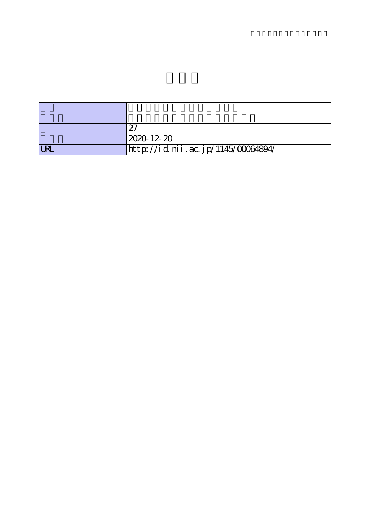|            | 2020-12-20                         |
|------------|------------------------------------|
| <b>URL</b> | http://id.nii.ac.jp/1145/00064894/ |